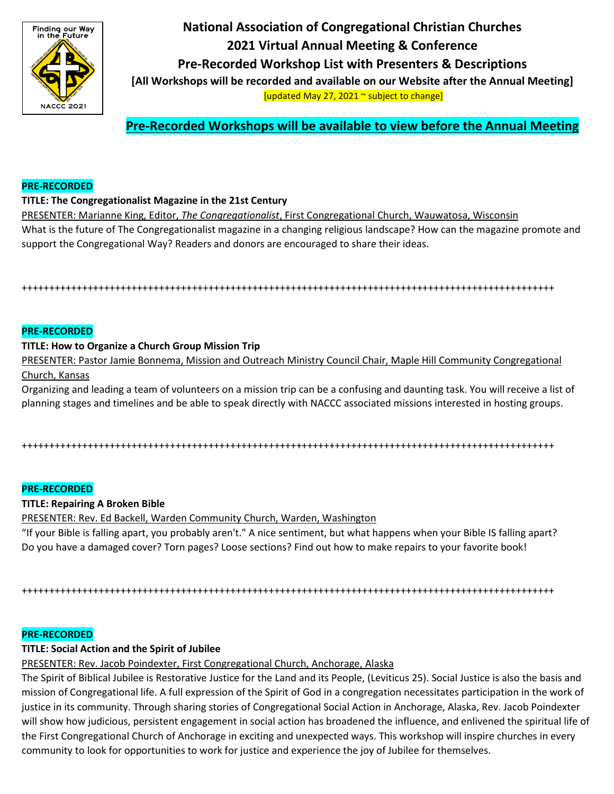

**National Association of Congregational Christian Churches 2021 Virtual Annual Meeting & Conference Pre-Recorded Workshop List with Presenters & Descriptions [All Workshops will be recorded and available on our Website after the Annual Meeting]** [updated May 27, 2021 ~ subject to change]

**Pre-Recorded Workshops will be available to view before the Annual Meeting**

## **PRE-RECORDED**

## **TITLE: The Congregationalist Magazine in the 21st Century**

PRESENTER: Marianne King, Editor, *The Congregationalist*, First Congregational Church, Wauwatosa, Wisconsin What is the future of The Congregationalist magazine in a changing religious landscape? How can the magazine promote and support the Congregational Way? Readers and donors are encouraged to share their ideas.

+++++++++++++++++++++++++++++++++++++++++++++++++++++++++++++++++++++++++++++++++++++++++++++++++

### **PRE-RECORDED**

### **TITLE: How to Organize a Church Group Mission Trip**

PRESENTER: Pastor Jamie Bonnema, Mission and Outreach Ministry Council Chair, Maple Hill Community Congregational Church, Kansas

Organizing and leading a team of volunteers on a mission trip can be a confusing and daunting task. You will receive a list of planning stages and timelines and be able to speak directly with NACCC associated missions interested in hosting groups.

+++++++++++++++++++++++++++++++++++++++++++++++++++++++++++++++++++++++++++++++++++++++++++++++++

#### **PRE-RECORDED**

#### **TITLE: Repairing A Broken Bible**

PRESENTER: Rev. Ed Backell, Warden Community Church, Warden, Washington

"If your Bible is falling apart, you probably aren't." A nice sentiment, but what happens when your Bible IS falling apart? Do you have a damaged cover? Torn pages? Loose sections? Find out how to make repairs to your favorite book!

+++++++++++++++++++++++++++++++++++++++++++++++++++++++++++++++++++++++++++++++++++++++++++++++++

## **PRE-RECORDED**

# **TITLE: Social Action and the Spirit of Jubilee**

PRESENTER: Rev. Jacob Poindexter, First Congregational Church, Anchorage, Alaska

The Spirit of Biblical Jubilee is Restorative Justice for the Land and its People, (Leviticus 25). Social Justice is also the basis and mission of Congregational life. A full expression of the Spirit of God in a congregation necessitates participation in the work of justice in its community. Through sharing stories of Congregational Social Action in Anchorage, Alaska, Rev. Jacob Poindexter will show how judicious, persistent engagement in social action has broadened the influence, and enlivened the spiritual life of the First Congregational Church of Anchorage in exciting and unexpected ways. This workshop will inspire churches in every community to look for opportunities to work for justice and experience the joy of Jubilee for themselves.